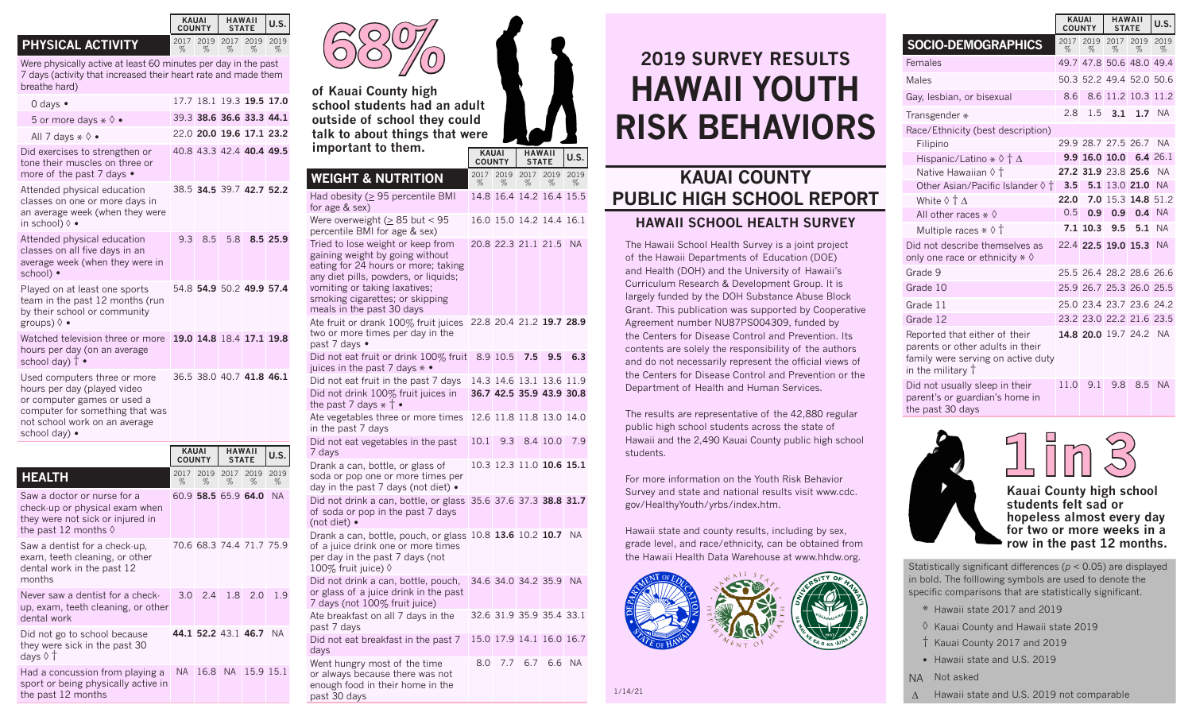## **PHYSICAL ACTIVITY**

dental work

days ◊ †

the past 12 months

Did not go to school because they were sick in the past 30

sport or being physically active in

Were physically active at least 60 minutes per day in the past 7 days (activity that increased their heart rate and made them breathe hard)

| 0 days $\bullet$                                                                                                                                                                |              |                     |                | 17.7 18.1 19.3 19.5 17.0 |           |
|---------------------------------------------------------------------------------------------------------------------------------------------------------------------------------|--------------|---------------------|----------------|--------------------------|-----------|
| 5 or more days $\ast \Diamond \bullet$                                                                                                                                          |              |                     |                | 39.3 38.6 36.6 33.3 44.1 |           |
| All 7 days $*$ $\diamond$ •                                                                                                                                                     |              |                     |                | 22.0 20.0 19.6 17.1 23.2 |           |
| Did exercises to strengthen or<br>tone their muscles on three or<br>more of the past 7 days •                                                                                   |              |                     |                | 40.8 43.3 42.4 40.4 49.5 |           |
| Attended physical education<br>classes on one or more days in<br>an average week (when they were<br>in school) $\lozenge$ •                                                     |              |                     |                | 38.5 34.5 39.7 42.7 52.2 |           |
| Attended physical education<br>classes on all five days in an<br>average week (when they were in<br>school) ·                                                                   | 9.3          | 8.5                 | 5.8            |                          | 8.5 25.9  |
| Played on at least one sports<br>team in the past 12 months (run<br>by their school or community<br>groups) $\Diamond \bullet$                                                  |              |                     |                | 54.8 54.9 50.2 49.9 57.4 |           |
| Watched television three or more<br>hours per day (on an average<br>school day) $\dagger$ •                                                                                     |              |                     |                | 19.0 14.8 18.4 17.1 19.8 |           |
| Used computers three or more<br>hours per day (played video<br>or computer games or used a<br>computer for something that was<br>not school work on an average<br>school day) • |              |                     |                | 36.5 38.0 40.7 41.8 46.1 |           |
|                                                                                                                                                                                 | <b>KAUAI</b> | <b>COUNTY</b>       | <b>HAWAII</b>  | <b>STATE</b>             | U.S.      |
| <b>HEALTH</b>                                                                                                                                                                   | 2017<br>%    | %                   | 2019 2017<br>% | 2019<br>%                | 2019<br>% |
| Saw a doctor or nurse for a<br>check-up or physical exam when<br>they were not sick or injured in<br>the past 12 months $\Diamond$                                              |              | 60.9 58.5 65.9 64.0 |                |                          | <b>NA</b> |
| Saw a dentist for a check-up,<br>exam, teeth cleaning, or other<br>dental work in the past 12<br>months                                                                         |              |                     |                | 70.6 68.3 74.4 71.7 75.9 |           |
| Never saw a dentist for a check-<br>up, exam, teeth cleaning, or other                                                                                                          | 3.0          | 2.4                 | 1.8            | 2.0                      | 1.9       |

Had a concussion from playing a NA 16.8 NA 15.9 15.1

**44.1 52.2** 43.1 **46.7** NA

**of Kauai County high school students had an adult outside of school they could talk to about things that were important to them. 68%**



| <b>WEIGHT &amp; NUTRITION</b>                                                                                                                                                                                                                        | 2017<br>% | 2019<br>%           | 2017<br>% | 2019<br>%                                            | 2019<br>% |
|------------------------------------------------------------------------------------------------------------------------------------------------------------------------------------------------------------------------------------------------------|-----------|---------------------|-----------|------------------------------------------------------|-----------|
| Had obesity ( $\geq$ 95 percentile BMI<br>for age & sex)                                                                                                                                                                                             |           |                     |           | 14.8 16.4 14.2 16.4 15.5                             |           |
| Were overweight ( $\geq 85$ but < 95<br>percentile BMI for age & sex)                                                                                                                                                                                |           |                     |           | 16.0 15.0 14.2 14.4 16.1                             |           |
| Tried to lose weight or keep from<br>gaining weight by going without<br>eating for 24 hours or more; taking<br>any diet pills, powders, or liquids;<br>vomiting or taking laxatives;<br>smoking cigarettes; or skipping<br>meals in the past 30 days |           | 20.8 22.3 21.1 21.5 |           |                                                      | <b>NA</b> |
| Ate fruit or drank 100% fruit juices<br>two or more times per day in the<br>past 7 days •                                                                                                                                                            |           |                     |           | 22.8 20.4 21.2 19.7 28.9                             |           |
| Did not eat fruit or drink 100% fruit<br>juices in the past 7 days $* \bullet$                                                                                                                                                                       |           | 8.9 10.5            | 7.5       | 9.5                                                  | 6.3       |
| Did not eat fruit in the past 7 days<br>Did not drink 100% fruit juices in<br>the past 7 days $*$ † $\bullet$                                                                                                                                        |           |                     |           | 14.3 14.6 13.1 13.6 11.9<br>36.7 42.5 35.9 43.9 30.8 |           |
| Ate vegetables three or more times<br>in the past 7 days                                                                                                                                                                                             |           |                     |           | 12.6 11.8 11.8 13.0 14.0                             |           |
| Did not eat vegetables in the past<br>7 days                                                                                                                                                                                                         | 10.1      | 9.3                 |           | 8.4 10.0                                             | 7.9       |
| Drank a can, bottle, or glass of<br>soda or pop one or more times per<br>day in the past 7 days (not diet) •                                                                                                                                         |           |                     |           | 10.3 12.3 11.0 <b>10.6 15.1</b>                      |           |
| Did not drink a can, bottle, or glass<br>of soda or pop in the past 7 days<br>(not diet) •                                                                                                                                                           |           |                     |           | 35.6 37.6 37.3 38.8 31.7                             |           |
| Drank a can, bottle, pouch, or glass 10.8 13.6 10.2 10.7 NA<br>of a juice drink one or more times<br>per day in the past 7 days (not<br>100% fruit juice) ♦                                                                                          |           |                     |           |                                                      |           |
| Did not drink a can, bottle, pouch,<br>or glass of a juice drink in the past<br>7 days (not 100% fruit juice)                                                                                                                                        |           |                     |           | 34.6 34.0 34.2 35.9 NA                               |           |
| Ate breakfast on all 7 days in the<br>past 7 days                                                                                                                                                                                                    |           |                     |           | 32.6 31.9 35.9 35.4 33.1                             |           |
| Did not eat breakfast in the past 7<br>days                                                                                                                                                                                                          |           |                     |           | 15.0 17.9 14.1 16.0 16.7                             |           |
| Went hungry most of the time<br>or always because there was not<br>enough food in their home in the                                                                                                                                                  | 8.0       | 7.7                 | 6.7       | 6.6                                                  | <b>NA</b> |

past 30 days

## **2019 SURVEY RESULTS HAWAII YOUTH RISK BEHAVIORS**

## **KAUAI COUNTY PUBLIC HIGH SCHOOL REPORT HAWAII SCHOOL HEALTH SURVEY**

The Hawaii School Health Survey is a joint project of the Hawaii Departments of Education (DOE) and Health (DOH) and the University of Hawaii's Curriculum Research & Development Group. It is largely funded by the DOH Substance Abuse Block Grant. This publication was supported by Cooperative Agreement number NU87PS004309, funded by the Centers for Disease Control and Prevention. Its contents are solely the responsibility of the authors and do not necessarily represent the official views of the Centers for Disease Control and Prevention or the Department of Health and Human Services.

The results are representative of the 42,880 regular public high school students across the state of Hawaii and the 2,490 Kauai County public high school students.

For more information on the Youth Risk Behavior Survey and state and national results visit www.cdc. gov/HealthyYouth/yrbs/index.htm.

Hawaii state and county results, including by sex, grade level, and race/ethnicity, can be obtained from the Hawaii Health Data Warehouse at www.hhdw.org.



|                                                | <b>KAUAI</b><br>COUNTY |                  | <b>HAWAII</b><br><b>STATE</b> | U.S.                     |           |
|------------------------------------------------|------------------------|------------------|-------------------------------|--------------------------|-----------|
| <b>SOCIO-DEMOGRAPHICS</b>                      | 2017<br>%              | 2019<br>%        | 2017<br>%                     | 2019<br>$\%$             | 2019<br>% |
| Females                                        |                        |                  |                               | 49.7 47.8 50.6 48.0 49.4 |           |
| Males                                          |                        |                  |                               | 50.3 52.2 49.4 52.0 50.6 |           |
| Gay, lesbian, or bisexual                      | 8.6                    |                  |                               | 8.6 11.2 10.3 11.2       |           |
| Transgender *                                  | 28                     | 1.5              | 3.1                           | 1.7                      | - NA      |
| Race/Ethnicity (best description)              |                        |                  |                               |                          |           |
| Filipino                                       |                        |                  |                               | 29.9 28.7 27.5 26.7      | <b>NA</b> |
| Hispanic/Latino $*\Diamond \dagger \Delta$     |                        |                  |                               | 9.9 16.0 10.0 6.4 26.1   |           |
| Native Hawaiian $\Diamond$ †                   |                        |                  |                               | 27.2 31.9 23.8 25.6      | <b>NA</b> |
| Other Asian/Pacific Islander $\Diamond$ $\dag$ | 3.5                    |                  |                               | 5.1 13.0 21.0 NA         |           |
| White $\Diamond$ † $\Delta$                    | 22.0                   |                  |                               | 7.0 15.3 14.8 51.2       |           |
| All other races $\ast \Diamond$                | 0.5                    | 0.9 <sup>°</sup> | 0.9                           |                          | 0.4 NA    |

| Native Hawaiian $\Diamond$ T                                                                                                 |                      |     | 27.2 31.9 23.8 25.6 NA   |        |
|------------------------------------------------------------------------------------------------------------------------------|----------------------|-----|--------------------------|--------|
| Other Asian/Pacific Islander $\Diamond$ $\dag$                                                                               | 3.5 5.1 13.0 21.0 NA |     |                          |        |
| White $\Diamond$ † $\Delta$                                                                                                  | 22.0                 |     | 7.0 15.3 14.8 51.2       |        |
| All other races $*$ $\diamond$                                                                                               | 0.5                  |     | $0.9$ 0.9 0.4 NA         |        |
| Multiple races $*$ $\diamond$ $\dagger$                                                                                      |                      |     | 7.1 10.3 9.5 5.1 NA      |        |
| Did not describe themselves as<br>only one race or ethnicity $\ast \Diamond$                                                 |                      |     | 22.4 22.5 19.0 15.3 NA   |        |
| Grade 9                                                                                                                      |                      |     | 25.5 26.4 28.2 28.6 26.6 |        |
| Grade 10                                                                                                                     |                      |     | 25.9 26.7 25.3 26.0 25.5 |        |
| Grade 11                                                                                                                     |                      |     | 25.0 23.4 23.7 23.6 24.2 |        |
| Grade 12                                                                                                                     |                      |     | 23.2 23.0 22.2 21.6 23.5 |        |
| Reported that either of their<br>parents or other adults in their<br>family were serving on active duty<br>in the military † |                      |     | 14.8 20.0 19.7 24.2 NA   |        |
| Did not usually sleep in their<br>parent's or guardian's home in                                                             | 11.0                 | 9.1 | 9.8                      | 8.5 NA |





 **1 in 3 Kauai County high school students felt sad or hopeless almost every day for two or more weeks in a** 

**row in the past 12 months.**

Statistically significant differences (*p* < 0.05) are displayed in bold. The folllowing symbols are used to denote the specific comparisons that are statistically significant.

- \* Hawaii state 2017 and 2019
- ◊ Kauai County and Hawaii state 2019 † Kauai County 2017 and 2019
- Hawaii state and U.S. 2019
- NA Not asked
	- ∆ Hawaii state and U.S. 2019 not comparable

%

**KAUAI**